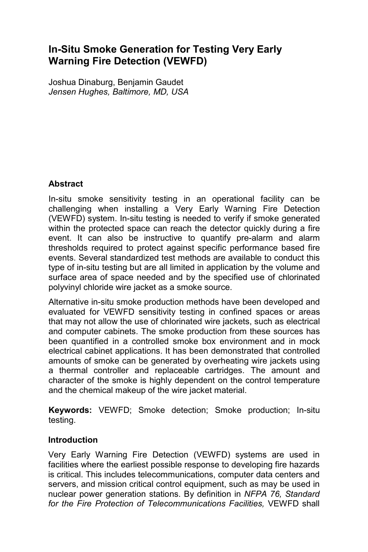# **In-Situ Smoke Generation for Testing Very Early Warning Fire Detection (VEWFD)**

Joshua Dinaburg, Benjamin Gaudet *Jensen Hughes, Baltimore, MD, USA* 

# **Abstract**

In-situ smoke sensitivity testing in an operational facility can be challenging when installing a Very Early Warning Fire Detection (VEWFD) system. In-situ testing is needed to verify if smoke generated within the protected space can reach the detector quickly during a fire event. It can also be instructive to quantify pre-alarm and alarm thresholds required to protect against specific performance based fire events. Several standardized test methods are available to conduct this type of in-situ testing but are all limited in application by the volume and surface area of space needed and by the specified use of chlorinated polyvinyl chloride wire jacket as a smoke source.

Alternative in-situ smoke production methods have been developed and evaluated for VEWFD sensitivity testing in confined spaces or areas that may not allow the use of chlorinated wire jackets, such as electrical and computer cabinets. The smoke production from these sources has been quantified in a controlled smoke box environment and in mock electrical cabinet applications. It has been demonstrated that controlled amounts of smoke can be generated by overheating wire jackets using a thermal controller and replaceable cartridges. The amount and character of the smoke is highly dependent on the control temperature and the chemical makeup of the wire jacket material.

**Keywords:** VEWFD; Smoke detection; Smoke production; In-situ testing.

### **Introduction**

Very Early Warning Fire Detection (VEWFD) systems are used in facilities where the earliest possible response to developing fire hazards is critical. This includes telecommunications, computer data centers and servers, and mission critical control equipment, such as may be used in nuclear power generation stations. By definition in *NFPA 76, Standard for the Fire Protection of Telecommunications Facilities,* VEWFD shall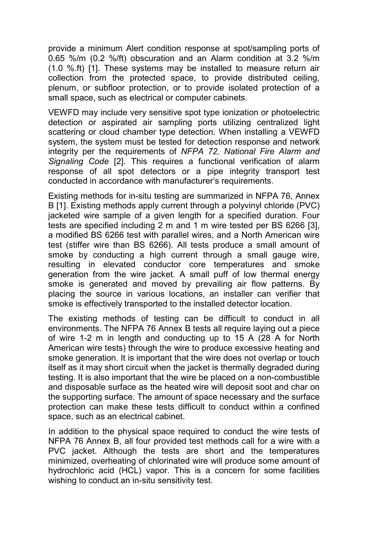provide a minimum Alert condition response at spot/sampling ports of 0.65 %/m (0.2 %/ft) obscuration and an Alarm condition at 3.2 %/m (1.0 %.ft) [1]. These systems may be installed to measure return air collection from the protected space, to provide distributed ceiling, plenum, or subfloor protection, or to provide isolated protection of a small space, such as electrical or computer cabinets.

VEWFD may include very sensitive spot type ionization or photoelectric detection or aspirated air sampling ports utilizing centralized light scattering or cloud chamber type detection. When installing a VEWFD system, the system must be tested for detection response and network integrity per the requirements of *NFPA 72, National Fire Alarm and Signaling Code* [2]. This requires a functional verification of alarm response of all spot detectors or a pipe integrity transport test conducted in accordance with manufacturer's requirements.

Existing methods for in-situ testing are summarized in NFPA 76, Annex B [1]. Existing methods apply current through a polyvinyl chloride (PVC) jacketed wire sample of a given length for a specified duration. Four tests are specified including 2 m and 1 m wire tested per BS 6266 [3], a modified BS 6266 test with parallel wires, and a North American wire test (stiffer wire than BS 6266). All tests produce a small amount of smoke by conducting a high current through a small gauge wire, resulting in elevated conductor core temperatures and smoke generation from the wire jacket. A small puff of low thermal energy smoke is generated and moved by prevailing air flow patterns. By placing the source in various locations, an installer can verifier that smoke is effectively transported to the installed detector location.

The existing methods of testing can be difficult to conduct in all environments. The NFPA 76 Annex B tests all require laying out a piece of wire 1-2 m in length and conducting up to 15 A (28 A for North American wire tests) through the wire to produce excessive heating and smoke generation. It is important that the wire does not overlap or touch itself as it may short circuit when the jacket is thermally degraded during testing. It is also important that the wire be placed on a non-combustible and disposable surface as the heated wire will deposit soot and char on the supporting surface. The amount of space necessary and the surface protection can make these tests difficult to conduct within a confined space, such as an electrical cabinet.

In addition to the physical space required to conduct the wire tests of NFPA 76 Annex B, all four provided test methods call for a wire with a PVC jacket. Although the tests are short and the temperatures minimized, overheating of chlorinated wire will produce some amount of hydrochloric acid (HCL) vapor. This is a concern for some facilities wishing to conduct an in-situ sensitivity test.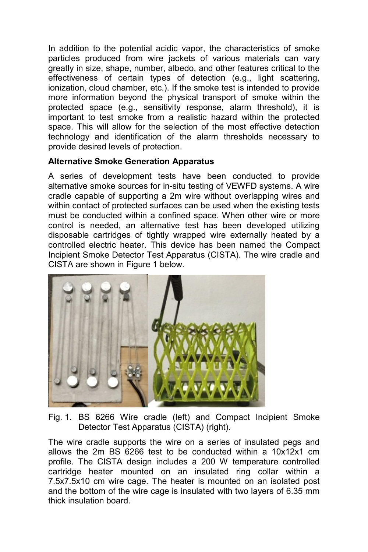In addition to the potential acidic vapor, the characteristics of smoke particles produced from wire jackets of various materials can vary greatly in size, shape, number, albedo, and other features critical to the effectiveness of certain types of detection (e.g., light scattering, ionization, cloud chamber, etc.). If the smoke test is intended to provide more information beyond the physical transport of smoke within the protected space (e.g., sensitivity response, alarm threshold), it is important to test smoke from a realistic hazard within the protected space. This will allow for the selection of the most effective detection technology and identification of the alarm thresholds necessary to provide desired levels of protection.

### **Alternative Smoke Generation Apparatus**

A series of development tests have been conducted to provide alternative smoke sources for in-situ testing of VEWFD systems. A wire cradle capable of supporting a 2m wire without overlapping wires and within contact of protected surfaces can be used when the existing tests must be conducted within a confined space. When other wire or more control is needed, an alternative test has been developed utilizing disposable cartridges of tightly wrapped wire externally heated by a controlled electric heater. This device has been named the Compact Incipient Smoke Detector Test Apparatus (CISTA). The wire cradle and CISTA are shown in Figure 1 below.



Fig. 1. BS 6266 Wire cradle (left) and Compact Incipient Smoke Detector Test Apparatus (CISTA) (right).

The wire cradle supports the wire on a series of insulated pegs and allows the 2m BS 6266 test to be conducted within a 10x12x1 cm profile. The CISTA design includes a 200 W temperature controlled cartridge heater mounted on an insulated ring collar within a 7.5x7.5x10 cm wire cage. The heater is mounted on an isolated post and the bottom of the wire cage is insulated with two layers of 6.35 mm thick insulation board.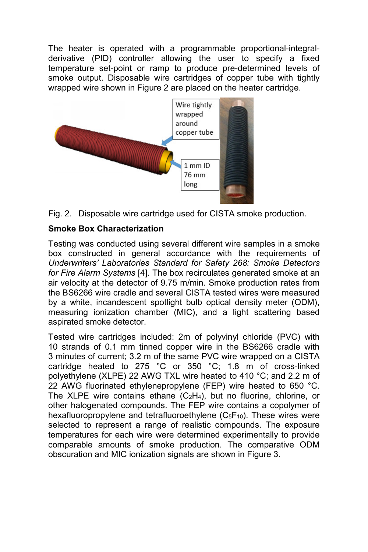The heater is operated with a programmable proportional-integralderivative (PID) controller allowing the user to specify a fixed temperature set-point or ramp to produce pre-determined levels of smoke output. Disposable wire cartridges of copper tube with tightly wrapped wire shown in Figure 2 are placed on the heater cartridge.





### **Smoke Box Characterization**

Testing was conducted using several different wire samples in a smoke box constructed in general accordance with the requirements of *Underwriters' Laboratories Standard for Safety 268: Smoke Detectors for Fire Alarm Systems* [4]. The box recirculates generated smoke at an air velocity at the detector of 9.75 m/min. Smoke production rates from the BS6266 wire cradle and several CISTA tested wires were measured by a white, incandescent spotlight bulb optical density meter (ODM), measuring ionization chamber (MIC), and a light scattering based aspirated smoke detector.

Tested wire cartridges included: 2m of polyvinyl chloride (PVC) with 10 strands of 0.1 mm tinned copper wire in the BS6266 cradle with 3 minutes of current; 3.2 m of the same PVC wire wrapped on a CISTA cartridge heated to 275 °C or 350 °C; 1.8  $\text{m}$  of cross-linked polyethylene (XLPE) 22 AWG TXL wire heated to 410 °C; and 2.2 m of 22 AWG fluorinated ethylenepropylene (FEP) wire heated to 650 °C. The XLPE wire contains ethane (C2H4), but no fluorine, chlorine, or other halogenated compounds. The FEP wire contains a copolymer of hexafluoropropylene and tetrafluoroethylene  $(C_5F_{10})$ . These wires were selected to represent a range of realistic compounds. The exposure temperatures for each wire were determined experimentally to provide comparable amounts of smoke production. The comparative ODM obscuration and MIC ionization signals are shown in Figure 3.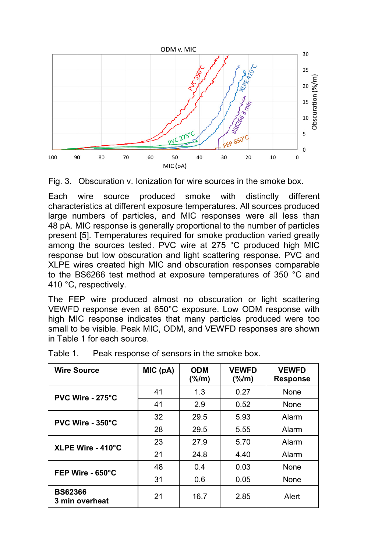



Each wire source produced smoke with distinctly different characteristics at different exposure temperatures. All sources produced large numbers of particles, and MIC responses were all less than 48 pA. MIC response is generally proportional to the number of particles present [5]. Temperatures required for smoke production varied greatly among the sources tested. PVC wire at 275 °C produced high MIC response but low obscuration and light scattering response. PVC and XLPE wires created high MIC and obscuration responses comparable to the BS6266 test method at exposure temperatures of 350 °C and 410 °C, respectively.

The FEP wire produced almost no obscuration or light scattering VEWFD response even at 650°C exposure. Low ODM response with high MIC response indicates that many particles produced were too small to be visible. Peak MIC, ODM, and VEWFD responses are shown in Table 1 for each source.

| <b>Wire Source</b>               | MIC(pA) | <b>ODM</b><br>(% / m) | <b>VEWFD</b><br>(% / m) | <b>VEWFD</b><br><b>Response</b> |
|----------------------------------|---------|-----------------------|-------------------------|---------------------------------|
| PVC Wire - 275°C                 | 41      | 1.3                   | 0.27                    | None                            |
|                                  | 41      | 2.9                   | 0.52                    | None                            |
| PVC Wire - 350°C                 | 32      | 29.5                  | 5.93                    | Alarm                           |
|                                  | 28      | 29.5                  | 5.55                    | Alarm                           |
| XLPE Wire - 410°C                | 23      | 27.9                  | 5.70                    | Alarm                           |
|                                  | 21      | 24.8                  | 4.40                    | Alarm                           |
| FEP Wire - $650^{\circ}$ C       | 48      | 0.4                   | 0.03                    | None                            |
|                                  | 31      | 0.6                   | 0.05                    | None                            |
| <b>BS62366</b><br>3 min overheat | 21      | 16.7                  | 2.85                    | Alert                           |

Table 1. Peak response of sensors in the smoke box.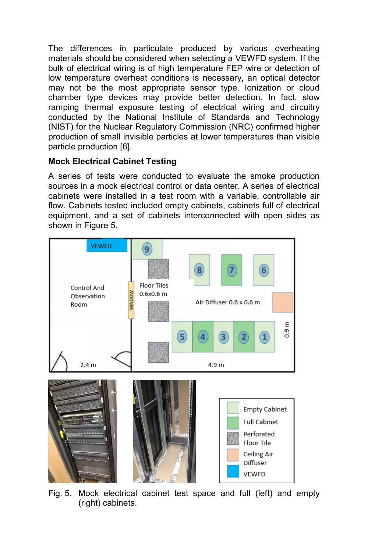The differences in particulate produced by various overheating materials should be considered when selecting a VEWFD system. If the bulk of electrical wiring is of high temperature FEP wire or detection of low temperature overheat conditions is necessary, an optical detector may not be the most appropriate sensor type. Ionization or cloud chamber type devices may provide better detection. In fact, slow ramping thermal exposure testing of electrical wiring and circuitry conducted by the National Institute of Standards and Technology (NIST) for the Nuclear Regulatory Commission (NRC) confirmed higher production of small invisible particles at lower temperatures than visible particle production [6].

# **Mock Electrical Cabinet Testing**

A series of tests were conducted to evaluate the smoke production sources in a mock electrical control or data center. A series of electrical cabinets were installed in a test room with a variable, controllable air flow. Cabinets tested included empty cabinets, cabinets full of electrical equipment, and a set of cabinets interconnected with open sides as shown in Figure 5.



Fig. 5. Mock electrical cabinet test space and full (left) and empty (right) cabinets.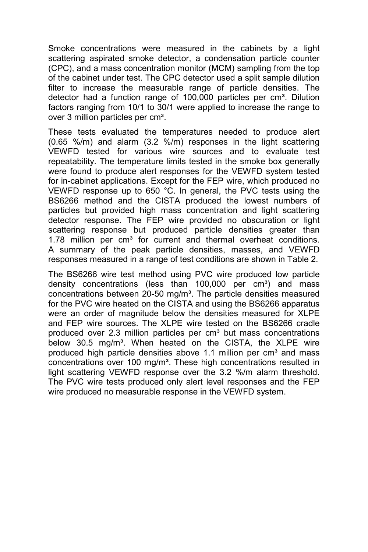Smoke concentrations were measured in the cabinets by a light scattering aspirated smoke detector, a condensation particle counter (CPC), and a mass concentration monitor (MCM) sampling from the top of the cabinet under test. The CPC detector used a split sample dilution filter to increase the measurable range of particle densities. The detector had a function range of  $100,000$  particles per cm<sup>3</sup>. Dilution factors ranging from 10/1 to 30/1 were applied to increase the range to over 3 million particles per cm<sup>3</sup>.

These tests evaluated the temperatures needed to produce alert (0.65 %/m) and alarm (3.2 %/m) responses in the light scattering VEWFD tested for various wire sources and to evaluate test repeatability. The temperature limits tested in the smoke box generally were found to produce alert responses for the VEWFD system tested for in-cabinet applications. Except for the FEP wire, which produced no VEWFD response up to 650 °C. In general, the PVC tests using the BS6266 method and the CISTA produced the lowest numbers of particles but provided high mass concentration and light scattering detector response. The FEP wire provided no obscuration or light scattering response but produced particle densities greater than 1.78 million per cm<sup>3</sup> for current and thermal overheat conditions. A summary of the peak particle densities, masses, and VEWFD responses measured in a range of test conditions are shown in Table 2.

The BS6266 wire test method using PVC wire produced low particle density concentrations (less than  $100,000$  per  $cm<sup>3</sup>$ ) and mass concentrations between 20-50 mg/m<sup>3</sup>. The particle densities measured for the PVC wire heated on the CISTA and using the BS6266 apparatus were an order of magnitude below the densities measured for XLPE and FEP wire sources. The XLPE wire tested on the BS6266 cradle produced over 2.3 million particles per cm<sup>3</sup> but mass concentrations below 30.5 mg/m<sup>3</sup>. When heated on the CISTA, the XLPE wire produced high particle densities above 1.1 million per cm<sup>3</sup> and mass concentrations over 100 mg/m<sup>3</sup>. These high concentrations resulted in light scattering VEWFD response over the 3.2 %/m alarm threshold. The PVC wire tests produced only alert level responses and the FEP wire produced no measurable response in the VEWFD system.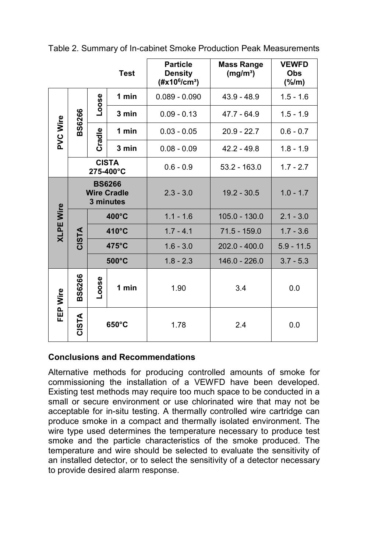|                  |                                                  |                 | <b>Test</b>     | <b>Particle</b><br><b>Density</b><br>$(\#x10^6/cm^3)$ | <b>Mass Range</b><br>(mg/m <sup>3</sup> ) | <b>VEWFD</b><br><b>Obs</b><br>(% / m) |
|------------------|--------------------------------------------------|-----------------|-----------------|-------------------------------------------------------|-------------------------------------------|---------------------------------------|
| <b>PVC Wire</b>  | <b>BS6266</b>                                    | <b>Loose</b>    | 1 min           | $0.089 - 0.090$                                       | $43.9 - 48.9$                             | $1.5 - 1.6$                           |
|                  |                                                  |                 | 3 min           | $0.09 - 0.13$                                         | $47.7 - 64.9$                             | $1.5 - 1.9$                           |
|                  |                                                  | Cradle          | 1 min           | $0.03 - 0.05$                                         | $20.9 - 22.7$                             | $0.6 - 0.7$                           |
|                  |                                                  |                 | 3 min           | $0.08 - 0.09$                                         | $42.2 - 49.8$                             | $1.8 - 1.9$                           |
|                  | <b>CISTA</b><br>275-400°C                        |                 |                 | $0.6 - 0.9$                                           | $53.2 - 163.0$                            | $1.7 - 2.7$                           |
| <b>XLPE Wire</b> | <b>BS6266</b><br><b>Wire Cradle</b><br>3 minutes |                 |                 | $2.3 - 3.0$                                           | $19.2 - 30.5$                             | $1.0 - 1.7$                           |
|                  |                                                  | 400°C           |                 | $1.1 - 1.6$                                           | $105.0 - 130.0$                           | $2.1 - 3.0$                           |
|                  | <b>CISTA</b>                                     | 410°C           |                 | $1.7 - 4.1$                                           | $71.5 - 159.0$                            | $1.7 - 3.6$                           |
|                  |                                                  |                 | 475°C           | $1.6 - 3.0$                                           | $202.0 - 400.0$                           | $5.9 - 11.5$                          |
|                  |                                                  |                 | $500^{\circ}$ C | $1.8 - 2.3$                                           | 146.0 - 226.0                             | $3.7 - 5.3$                           |
| FEP Wire         | BS6266                                           | Loose<br>1 min  |                 | 1.90                                                  | 3.4                                       | 0.0                                   |
|                  | <b>CISTA</b>                                     | $650^{\circ}$ C |                 | 1.78                                                  | 2.4                                       | 0.0                                   |

Table 2. Summary of In-cabinet Smoke Production Peak Measurements

### **Conclusions and Recommendations**

Alternative methods for producing controlled amounts of smoke for commissioning the installation of a VEWFD have been developed. Existing test methods may require too much space to be conducted in a small or secure environment or use chlorinated wire that may not be acceptable for in-situ testing. A thermally controlled wire cartridge can produce smoke in a compact and thermally isolated environment. The wire type used determines the temperature necessary to produce test smoke and the particle characteristics of the smoke produced. The temperature and wire should be selected to evaluate the sensitivity of an installed detector, or to select the sensitivity of a detector necessary to provide desired alarm response.